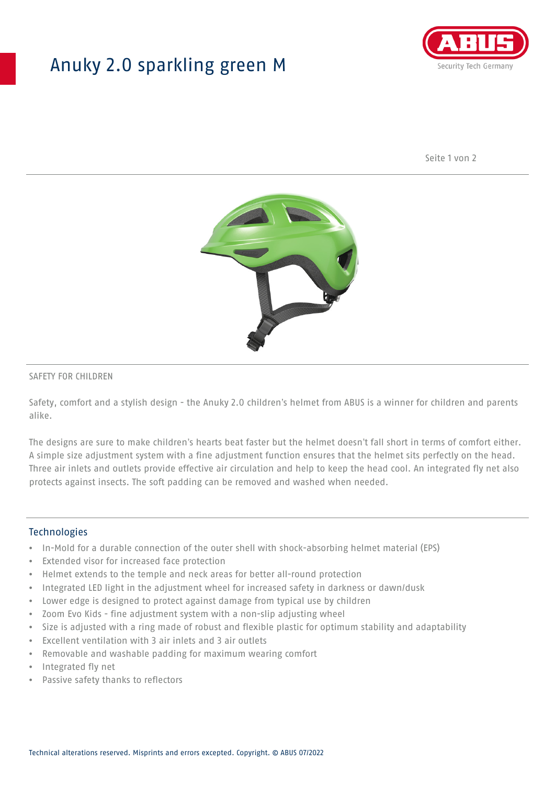## Anuky 2.0 sparkling green M



Seite 1 von 2



### SAFETY FOR CHILDREN

Safety, comfort and a stylish design - the Anuky 2.0 children's helmet from ABUS is a winner for children and parents alike.

The designs are sure to make children's hearts beat faster but the helmet doesn't fall short in terms of comfort either. A simple size adjustment system with a fine adjustment function ensures that the helmet sits perfectly on the head. Three air inlets and outlets provide effective air circulation and help to keep the head cool. An integrated fly net also protects against insects. The soft padding can be removed and washed when needed.

#### **Technologies**

- In-Mold for a durable connection of the outer shell with shock-absorbing helmet material (EPS)
- Extended visor for increased face protection
- Helmet extends to the temple and neck areas for better all-round protection
- Integrated LED light in the adjustment wheel for increased safety in darkness or dawn/dusk
- Lower edge is designed to protect against damage from typical use by children
- Zoom Evo Kids fine adjustment system with a non-slip adjusting wheel
- Size is adjusted with a ring made of robust and flexible plastic for optimum stability and adaptability
- Excellent ventilation with 3 air inlets and 3 air outlets
- Removable and washable padding for maximum wearing comfort
- Integrated fly net
- Passive safety thanks to reflectors